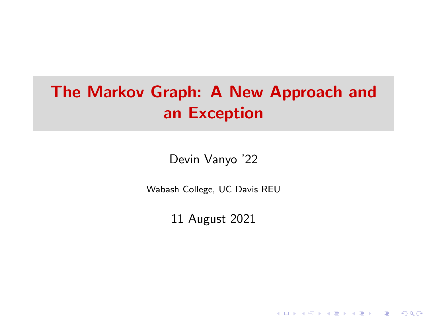# <span id="page-0-0"></span>The Markov Graph: A New Approach and an Exception

Devin Vanyo '22

Wabash College, UC Davis REU

11 August 2021

K ロ ▶ K 個 ▶ K 할 ▶ K 할 ▶ 이 할 → 9 Q Q →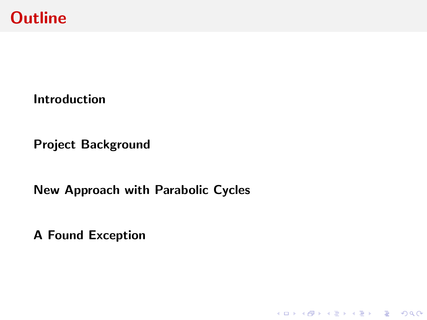

[Project Background](#page-6-0)

[New Approach with Parabolic Cycles](#page-15-0)

KO K K Ø K K E K K E K V K K K K K K K K K

[A Found Exception](#page-27-0)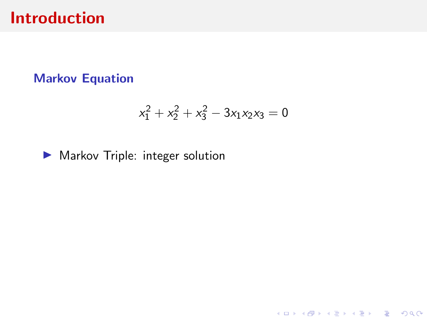#### <span id="page-2-0"></span>Markov Equation

$$
x_1^2 + x_2^2 + x_3^2 - 3x_1x_2x_3 = 0
$$

KO K K Ø K K E K K E K V K K K K K K K K K

 $\blacktriangleright$  Markov Triple: integer solution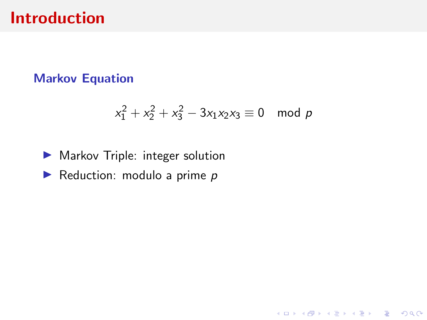#### Markov Equation

$$
x_1^2 + x_2^2 + x_3^2 - 3x_1x_2x_3 \equiv 0 \mod p
$$

K ロ ▶ K @ ▶ K 할 ▶ K 할 ▶ | 할 | © 9 Q @

#### $\blacktriangleright$  Markov Triple: integer solution

 $\blacktriangleright$  Reduction: modulo a prime p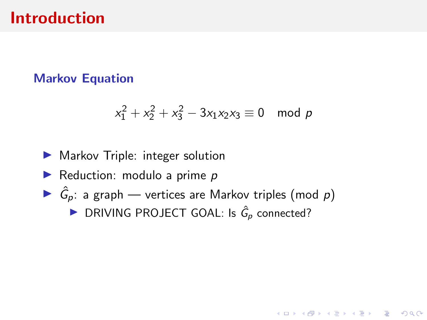#### Markov Equation

$$
x_1^2 + x_2^2 + x_3^2 - 3x_1x_2x_3 \equiv 0 \mod p
$$

**KORK ERKER ADAM ADA** 

- $\blacktriangleright$  Markov Triple: integer solution
- $\blacktriangleright$  Reduction: modulo a prime p
- $\blacktriangleright$   $\hat{G}_p$ : a graph vertices are Markov triples (mod p)
	- ▶ DRIVING PROJECT GOAL: Is  $\hat{G}_p$  connected?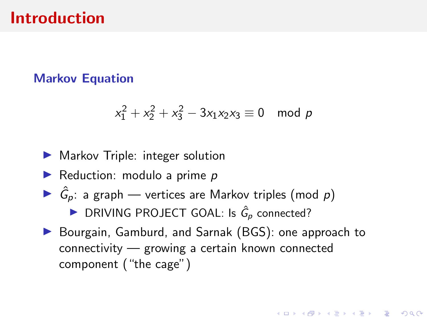#### Markov Equation

$$
x_1^2 + x_2^2 + x_3^2 - 3x_1x_2x_3 \equiv 0 \mod p
$$

#### $\blacktriangleright$  Markov Triple: integer solution

- $\blacktriangleright$  Reduction: modulo a prime p
- $\blacktriangleright$   $\hat{G}_p$ : a graph vertices are Markov triples (mod p)
	- ▶ DRIVING PROJECT GOAL: Is  $\hat{G}_p$  connected?
- ▶ Bourgain, Gamburd, and Sarnak (BGS): one approach to connectivity — growing a certain known connected component ("the cage")

**KORKARYKERKER POLO**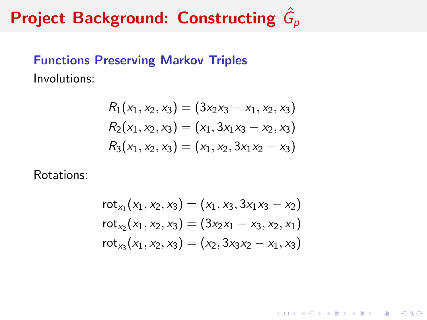### <span id="page-6-0"></span>Functions Preserving Markov Triples Involutions:

$$
R_1(x_1, x_2, x_3) = (3x_2x_3 - x_1, x_2, x_3)
$$
  
\n
$$
R_2(x_1, x_2, x_3) = (x_1, 3x_1x_3 - x_2, x_3)
$$
  
\n
$$
R_3(x_1, x_2, x_3) = (x_1, x_2, 3x_1x_2 - x_3)
$$

Rotations:

$$
rot_{x_1}(x_1, x_2, x_3) = (x_1, x_3, 3x_1x_3 - x_2)
$$
  

$$
rot_{x_2}(x_1, x_2, x_3) = (3x_2x_1 - x_3, x_2, x_1)
$$
  

$$
rot_{x_3}(x_1, x_2, x_3) = (x_2, 3x_3x_2 - x_1, x_3)
$$

KO K K Ø K K E K K E K V K K K K K K K K K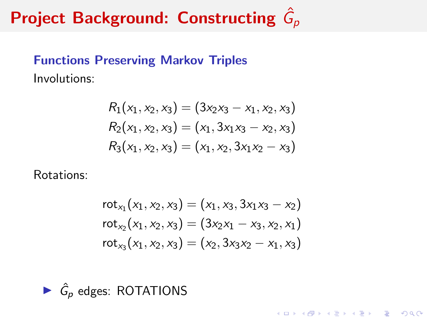### Functions Preserving Markov Triples Involutions:

$$
R_1(x_1, x_2, x_3) = (3x_2x_3 - x_1, x_2, x_3)
$$
  
\n
$$
R_2(x_1, x_2, x_3) = (x_1, 3x_1x_3 - x_2, x_3)
$$
  
\n
$$
R_3(x_1, x_2, x_3) = (x_1, x_2, 3x_1x_2 - x_3)
$$

Rotations:

$$
rot_{x_1}(x_1, x_2, x_3) = (x_1, x_3, 3x_1x_3 - x_2)
$$
  

$$
rot_{x_2}(x_1, x_2, x_3) = (3x_2x_1 - x_3, x_2, x_1)
$$
  

$$
rot_{x_3}(x_1, x_2, x_3) = (x_2, 3x_3x_2 - x_1, x_3)
$$

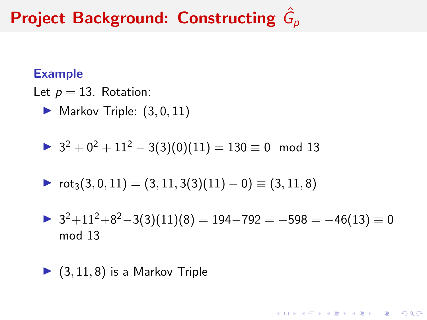#### Example

Let  $p = 13$ . Rotation:

 $\blacktriangleright$  Markov Triple:  $(3, 0, 11)$ 

$$
3^2 + 0^2 + 11^2 - 3(3)(0)(11) = 130 \equiv 0 \mod 13
$$

$$
\blacktriangleright \;\text{rot}_3(3,0,11) = (3,11,3(3)(11)-0) \equiv (3,11,8)
$$

$$
32+112+82-3(3)(11)(8) = 194-792 = -598 = -46(13) \equiv 0
$$
  
mod 13

K ロ ▶ K 個 ▶ K 할 ▶ K 할 ▶ 이 할 → 9 Q Q →

$$
\blacktriangleright
$$
 (3, 11, 8) is a Markov Triple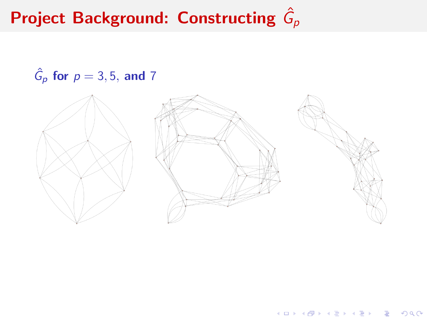$$
\hat{G}_p \text{ for } p = 3, 5, \text{ and } 7
$$



メロトメ 御 トメ 差 トメ 差 ト

重

 $2990$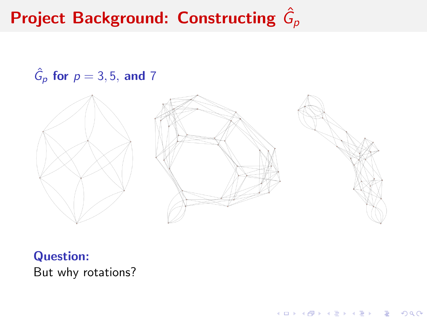$$
\hat{G}_p \text{ for } p = 3, 5, \text{ and } 7
$$



イロト 不優 トイ磨 トイ磨 トー 磨っ

 $2990$ 

Question: But why rotations?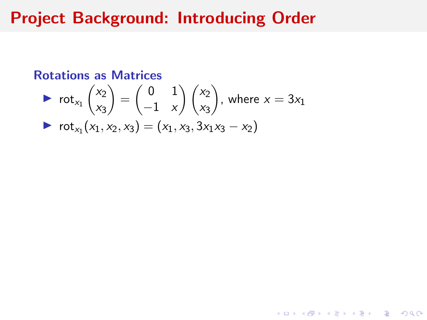## Project Background: Introducing Order

#### Rotations as Matrices

$$
\begin{array}{ll}\n\blacktriangleright & \text{rot}_{x_1} \binom{x_2}{x_3} = \binom{0 & 1}{-1 & x} \binom{x_2}{x_3}, \text{ where } x = 3x_1 \\
\blacktriangleright & \text{rot}_{x_1} (x_1, x_2, x_3) = (x_1, x_3, 3x_1x_3 - x_2)\n\end{array}
$$

K ロ ▶ K @ ▶ K 할 ▶ K 할 ▶ | 할 | ⊙Q @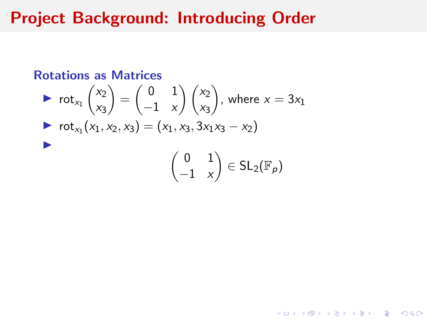## Project Background: Introducing Order

#### Rotations as Matrices

$$
\begin{aligned}\n\triangleright \ \ \cot_{x_1} \binom{x_2}{x_3} &= \binom{0 \ 1}{-1 \ x} \binom{x_2}{x_3}, \ \text{where } x = 3x_1 \\
\triangleright \ \ \cot_{x_1} (x_1, x_2, x_3) &= (x_1, x_3, 3x_1x_3 - x_2) \\
\end{aligned}
$$

**Kロトメ部トメミトメミト ミニのQC**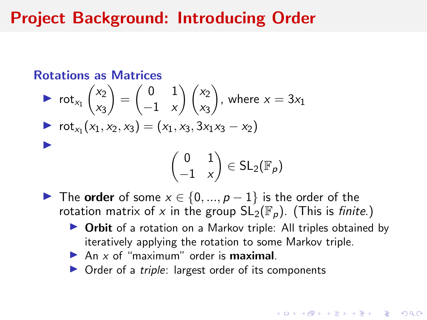### Project Background: Introducing Order

#### Rotations as Matrices

$$
\begin{aligned}\n\triangleright \text{ rot}_{x_1} \begin{pmatrix} x_2 \\ x_3 \end{pmatrix} &= \begin{pmatrix} 0 & 1 \\ -1 & x \end{pmatrix} \begin{pmatrix} x_2 \\ x_3 \end{pmatrix}, \text{ where } x = 3x_1 \\
\triangleright \text{ rot}_{x_1} (x_1, x_2, x_3) &= (x_1, x_3, 3x_1x_3 - x_2) \\
\end{pmatrix} \\
\bigg(\begin{pmatrix} 0 & 1 \\ -1 & x \end{pmatrix} \in \text{SL}_2(\mathbb{F}_p)\n\end{aligned}
$$

**In The order** of some  $x \in \{0, ..., p-1\}$  is the order of the rotation matrix of x in the group  $SL_2(\mathbb{F}_p)$ . (This is finite.)

- **Drbit** of a rotation on a Markov triple: All triples obtained by iteratively applying the rotation to some Markov triple.
- An  $x$  of "maximum" order is **maximal**.
- $\triangleright$  Order of a *triple*: largest order of its components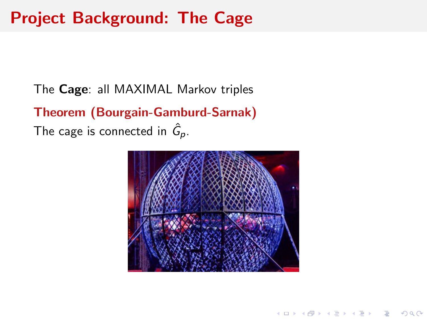## <span id="page-14-0"></span>Project Background: The Cage

The Cage: all MAXIMAL Markov triples Theorem (Bourgain-Gamburd-Sarnak) The cage is connected in  $\hat{G}_{\bm p}$ .



**KORKARYKERKER POLO**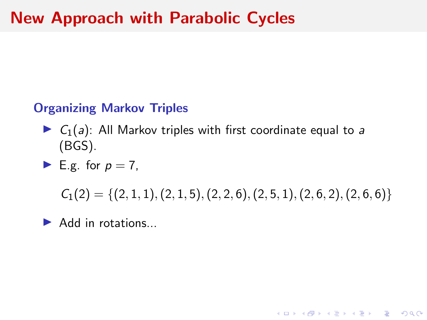### <span id="page-15-0"></span>Organizing Markov Triples

 $\triangleright$   $C_1(a)$ : All Markov triples with first coordinate equal to a (BGS).

$$
\blacktriangleright
$$
 E.g. for  $p = 7$ ,

 $C_1(2) = \{(2, 1, 1), (2, 1, 5), (2, 2, 6), (2, 5, 1), (2, 6, 2), (2, 6, 6)\}\$ 

**KORKAR KERKER SAGA** 

 $\blacktriangleright$  Add in rotations...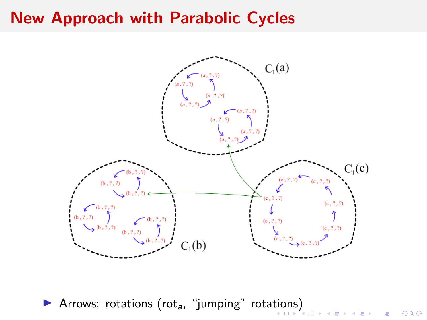

È

 $299$ 

**Arrows: rota[tio](#page-15-0)[ns](#page-17-0) (rot<sub>a</sub>, "jumping" rotations[\)](#page-15-0)**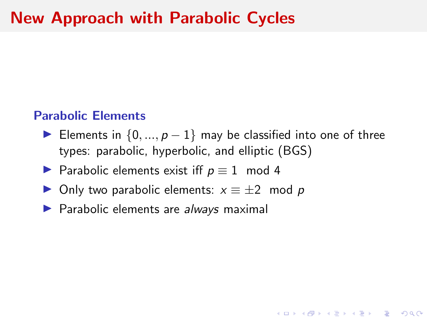#### <span id="page-17-0"></span>Parabolic Elements

► Elements in  $\{0, ..., p-1\}$  may be classified into one of three types: parabolic, hyperbolic, and elliptic (BGS)

- ▶ Parabolic elements exist iff  $p \equiv 1 \mod 4$
- $\triangleright$  Only two parabolic elements:  $x \equiv \pm 2 \mod p$
- $\blacktriangleright$  Parabolic elements are always maximal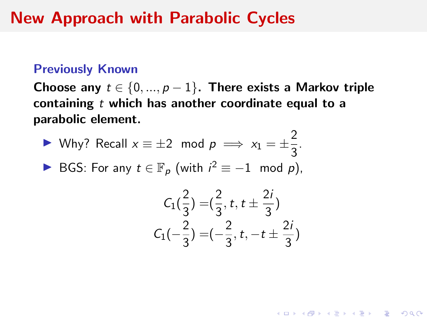#### Previously Known

Choose any  $t \in \{0, ..., p-1\}$ . There exists a Markov triple containing  $t$  which has another coordinate equal to a parabolic element.

► Why? Recall 
$$
x \equiv \pm 2 \mod p \implies x_1 = \pm \frac{2}{3}
$$
.

► BGS: For any  $t \in \mathbb{F}_p$  (with  $i^2 \equiv -1 \mod p$ ),

$$
C_1(\frac{2}{3}) = (\frac{2}{3}, t, t \pm \frac{2i}{3})
$$
  

$$
C_1(-\frac{2}{3}) = (-\frac{2}{3}, t, -t \pm \frac{2i}{3})
$$

 $\sim$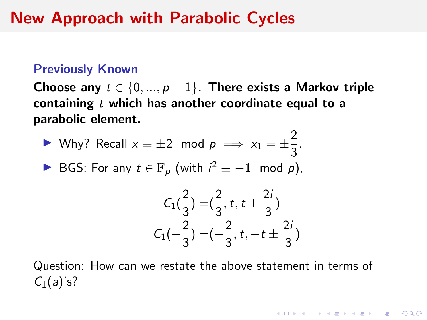#### Previously Known

Choose any  $t \in \{0, ..., p-1\}$ . There exists a Markov triple containing  $t$  which has another coordinate equal to a parabolic element.

$$
\triangleright \text{ Why? Recall } x \equiv \pm 2 \mod p \implies x_1 = \pm \frac{2}{3}.
$$

► BGS: For any  $t \in \mathbb{F}_p$  (with  $i^2 \equiv -1 \mod p$ ),

$$
C_1(\frac{2}{3}) = (\frac{2}{3}, t, t \pm \frac{2i}{3})
$$
  

$$
C_1(-\frac{2}{3}) = (-\frac{2}{3}, t, -t \pm \frac{2i}{3})
$$

**KORKAR KERKER SAGA** 

Question: How can we restate the above statement in terms of  $C_1(a)'s?$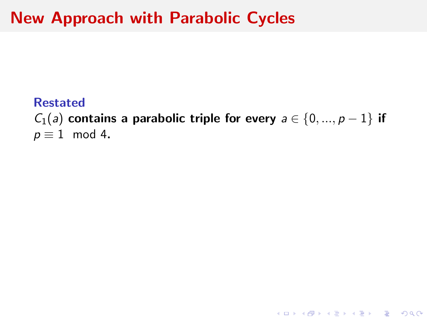#### Restated

 $C_1(a)$  contains a parabolic triple for every  $a \in \{0, ..., p-1\}$  if  $p \equiv 1 \mod 4$ .

K ロ ▶ K @ ▶ K 할 ▶ K 할 ▶ | 할 | © 9 Q @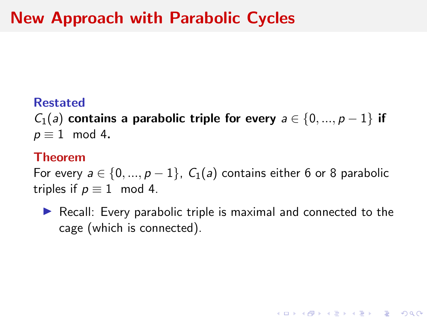#### <span id="page-21-0"></span>Restated

 $C_1(a)$  contains a parabolic triple for every  $a \in \{0, ..., p-1\}$  if  $p \equiv 1 \mod 4$ .

#### Theorem

For every  $a \in \{0, ..., p-1\}$ ,  $C_1(a)$  contains either 6 or 8 parabolic triples if  $p \equiv 1 \mod 4$ .

 $\triangleright$  Recall: Every parabolic triple is maximal and connected to the cage (which is connected).

**KORKARYKERKER POLO**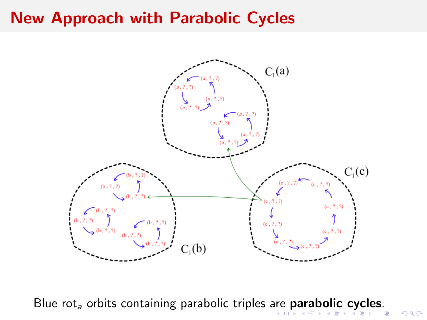<span id="page-22-0"></span>

Blue rot<sub>a</sub> orbits containing parabolic triples [are](#page-21-0)**[p](#page-23-0)[ar](#page-21-0)[a](#page-22-0)[b](#page-23-0)[o](#page-14-0)[li](#page-15-0)[c](#page-26-0) c[y](#page-15-0)c[le](#page-27-0)[s](#page-0-0)**[.](#page-33-0)

 $2990$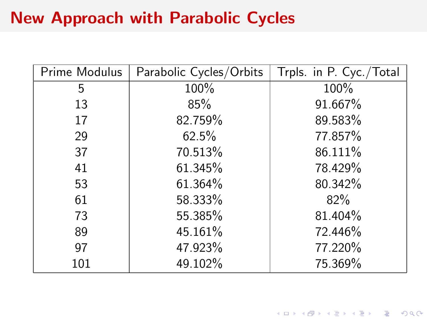<span id="page-23-0"></span>

| Prime Modulus | Parabolic Cycles/Orbits | Trpls. in P. Cyc./Total |
|---------------|-------------------------|-------------------------|
| 5             | 100%                    | 100%                    |
| 13            | 85%                     | 91.667%                 |
| 17            | 82.759%                 | 89.583%                 |
| 29            | 62.5%                   | 77.857%                 |
| 37            | 70.513%                 | 86.111%                 |
| 41            | 61.345%                 | 78.429%                 |
| 53            | 61.364%                 | 80.342%                 |
| 61            | 58.333%                 | 82%                     |
| 73            | 55.385%                 | 81.404%                 |
| 89            | 45.161%                 | 72.446%                 |
| 97            | 47.923%                 | 77.220%                 |
| 101           | 49.102%                 | 75.369%                 |

K ロ ▶ K @ ▶ K 할 ▶ K 할 ▶ | 할 | ⊙Q @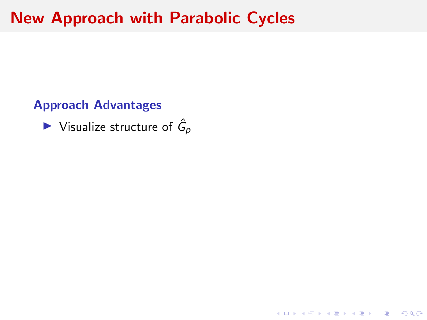Approach Advantages

 $\blacktriangleright$  Visualize structure of  $\hat{G}_p$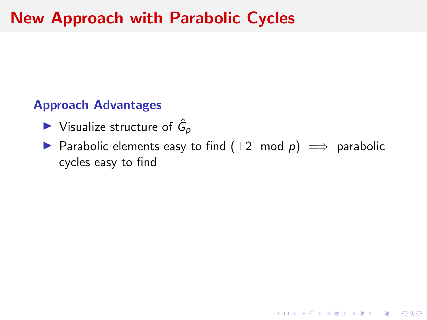### Approach Advantages

- $\blacktriangleright$  Visualize structure of  $\hat{G}_p$
- ▶ Parabolic elements easy to find  $(\pm 2 \mod p) \implies$  parabolic cycles easy to find

**KORK ERKER ADAM ADA**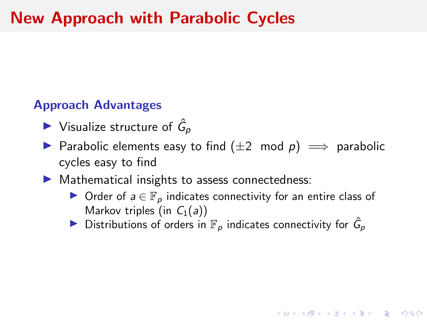#### <span id="page-26-0"></span>Approach Advantages

- $\blacktriangleright$  Visualize structure of  $\hat{G}_p$
- ▶ Parabolic elements easy to find  $(\pm 2 \mod p) \implies$  parabolic cycles easy to find
- $\blacktriangleright$  Mathematical insights to assess connectedness:
	- ▶ Order of  $a \in \mathbb{F}_p$  indicates connectivity for an entire class of Markov triples (in  $C_1(a)$ )

**KORKAR KERKER SAGA** 

Distributions of orders in  $\mathbb{F}_p$  indicates connectivity for  $\hat{G}_p$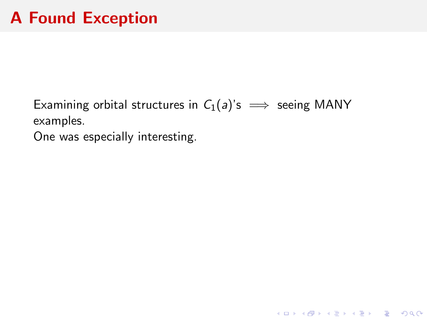<span id="page-27-0"></span>Examining orbital structures in  $C_1(a)$ 's  $\implies$  seeing MANY examples.

KO K K Ø K K E K K E K V K K K K K K K K K

One was especially interesting.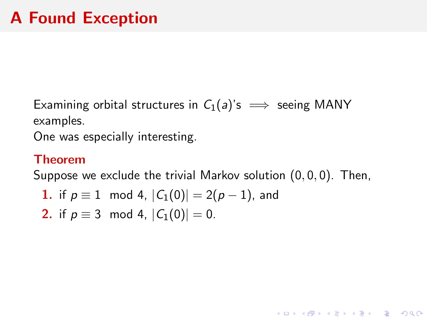Examining orbital structures in  $C_1(a)$ 's  $\implies$  seeing MANY examples.

One was especially interesting.

#### Theorem

Suppose we exclude the trivial Markov solution  $(0, 0, 0)$ . Then,

**1.** if 
$$
p \equiv 1 \mod 4
$$
,  $|C_1(0)| = 2(p-1)$ , and

**2.** if 
$$
p \equiv 3 \mod 4
$$
,  $|C_1(0)| = 0$ .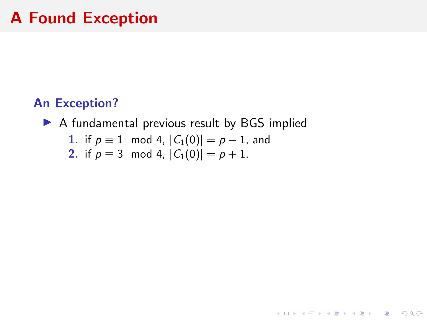# A Found Exception

### An Exception?

 $\triangleright$  A fundamental previous result by BGS implied

**Kロトメ部トメミトメミト ミニのQC** 

1. if 
$$
p \equiv 1 \mod 4
$$
,  $|C_1(0)| = p - 1$ , and

2. if 
$$
p \equiv 3 \mod 4
$$
,  $|C_1(0)| = p + 1$ .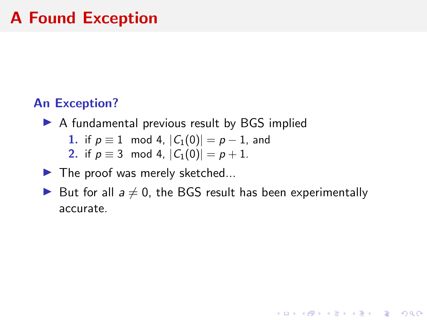# A Found Exception

### An Exception?

- $\triangleright$  A fundamental previous result by BGS implied
	- 1. if  $p \equiv 1 \mod 4$ ,  $|C_1(0)| = p 1$ , and
	- 2. if  $p \equiv 3 \mod 4$ ,  $|C_1(0)| = p + 1$ .
- $\blacktriangleright$  The proof was merely sketched...
- But for all  $a \neq 0$ , the BGS result has been experimentally accurate.

**KORKARYKERKER POLO**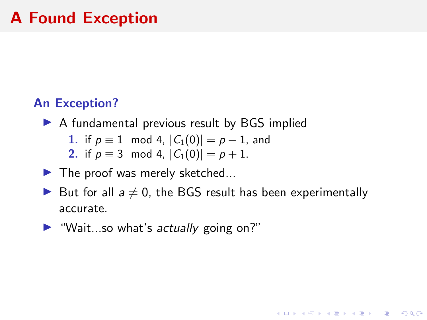# A Found Exception

### An Exception?

- $\triangleright$  A fundamental previous result by BGS implied
	- 1. if  $p \equiv 1 \mod 4$ ,  $|C_1(0)| = p 1$ , and
	- 2. if  $p \equiv 3 \mod 4$ ,  $|C_1(0)| = p + 1$ .
- $\blacktriangleright$  The proof was merely sketched...
- But for all  $a \neq 0$ , the BGS result has been experimentally accurate.

**KORKARYKERKER POLO** 

 $\blacktriangleright$  "Wait...so what's actually going on?"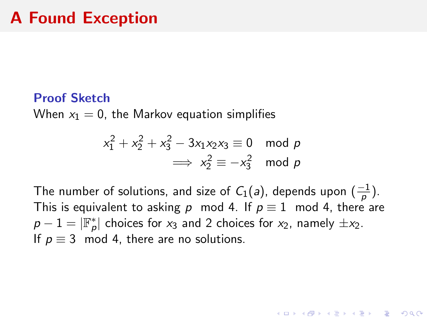#### Proof Sketch

When  $x_1 = 0$ , the Markov equation simplifies

$$
x_1^2 + x_2^2 + x_3^2 - 3x_1x_2x_3 \equiv 0 \mod p
$$
  

$$
\implies x_2^2 \equiv -x_3^2 \mod p
$$

The number of solutions, and size of  $C_1(a)$ , depends upon  $(\frac{-1}{p})$ . This is equivalent to asking p mod 4. If  $p \equiv 1 \mod 4$ , there are  $p-1=|\mathbb{F}_p^*|$  choices for  $x_3$  and 2 choices for  $x_2$ , namely  $\pm x_2$ . If  $p \equiv 3 \mod 4$ , there are no solutions.

**KORKAR KERKER SAGA**